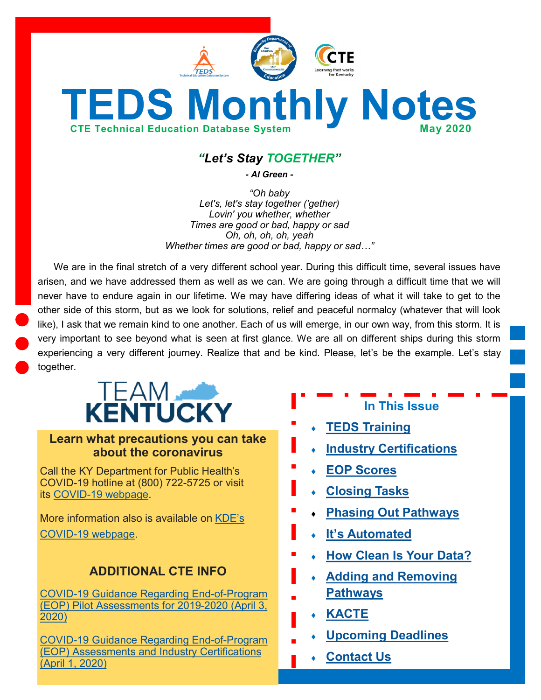

# **TEDS Monthly Notes CTE Technical Education Database System May 2020**

# *"Let's Stay TOGETHER"*

*- Al Green -*

*"Oh baby Let's, let's stay together ('gether) Lovin' you whether, whether Times are good or bad, happy or sad Oh, oh, oh, oh, yeah Whether times are good or bad, happy or sad…"*

We are in the final stretch of a very different school year. During this difficult time, several issues have arisen, and we have addressed them as well as we can. We are going through a difficult time that we will never have to endure again in our lifetime. We may have differing ideas of what it will take to get to the other side of this storm, but as we look for solutions, relief and peaceful normalcy (whatever that will look like), I ask that we remain kind to one another. Each of us will emerge, in our own way, from this storm. It is very important to see beyond what is seen at first glance. We are all on different ships during this storm experiencing a very different journey. Realize that and be kind. Please, let's be the example. Let's stay together.



## **Learn what precautions you can take about the coronavirus**

Call the KY Department for Public Health's COVID-19 hotline at (800) 722-5725 or visit its COVID-[19 webpage.](https://chfs.ky.gov/agencies/dph/pages/covid19.aspx)

More information also is available on [KDE](https://education.ky.gov/comm/Pages/COVID-19-Updates.aspx)'s COVID-[19 webpage.](https://education.ky.gov/comm/Pages/COVID-19-Updates.aspx)

# **ADDITIONAL CTE INFO**

COVID-[19 Guidance Regarding End](https://education.ky.gov/CTE/endofprog/Documents/20-04-03_CTE_EOP_Pilot_Assessments_Update.pdf)-of-Program [\(EOP\) Pilot Assessments for 2019](https://education.ky.gov/CTE/endofprog/Documents/20-04-03_CTE_EOP_Pilot_Assessments_Update.pdf)-2020 (April 3, [2020\)](https://education.ky.gov/CTE/endofprog/Documents/20-04-03_CTE_EOP_Pilot_Assessments_Update.pdf)

COVID-[19 Guidance Regarding End](https://education.ky.gov/CTE/endofprog/Documents/20-04-01_CTE_Assessment_Industry_Certification_Communication.pdf)-of-Program [\(EOP\) Assessments and Industry Certifications](https://education.ky.gov/CTE/endofprog/Documents/20-04-01_CTE_Assessment_Industry_Certification_Communication.pdf)  [\(April 1, 2020\)](https://education.ky.gov/CTE/endofprog/Documents/20-04-01_CTE_Assessment_Industry_Certification_Communication.pdf)

**In This Issue**

- **[TEDS Training](#page-1-0)**
- **[Industry Certifications](#page-1-0)**
- **[EOP Scores](#page-1-0)**
- **[Closing Tasks](#page-2-0)**
- **[Phasing Out Pathways](#page-2-0)**
- **It'[s Automated](#page-3-0)**
- **[How Clean Is Your Data?](#page-3-0)**
- **[Adding and Removing](#page-4-0)  [Pathways](#page-4-0)**
- **[KACTE](#page-4-0)**
- **[Upcoming Deadlines](#page-5-0)**
- **[Contact Us](#page-5-0)**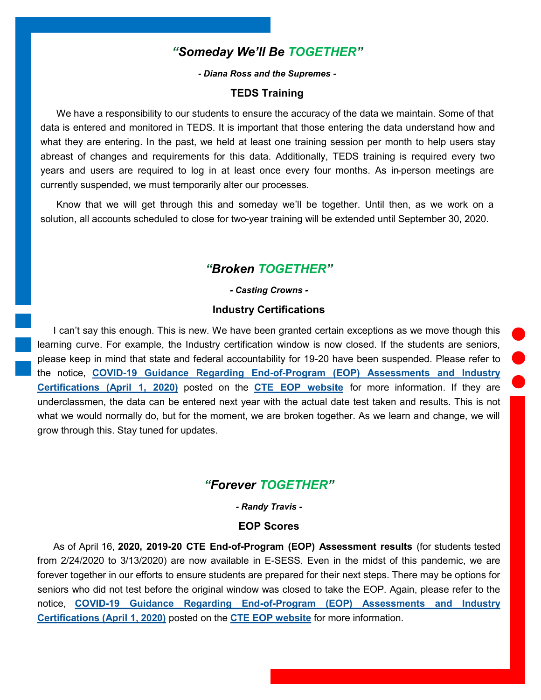# *"Someday We'll Be TOGETHER"*

*- Diana Ross and the Supremes -*

#### **TEDS Training**

<span id="page-1-0"></span>We have a responsibility to our students to ensure the accuracy of the data we maintain. Some of that data is entered and monitored in TEDS. It is important that those entering the data understand how and what they are entering. In the past, we held at least one training session per month to help users stay abreast of changes and requirements for this data. Additionally, TEDS training is required every two years and users are required to log in at least once every four months. As in-person meetings are currently suspended, we must temporarily alter our processes.

Know that we will get through this and someday we'll be together. Until then, as we work on a solution, all accounts scheduled to close for two-year training will be extended until September 30, 2020.

#### *"Broken TOGETHER"*

*- Casting Crowns -*

#### **Industry Certifications**

I can't say this enough. This is new. We have been granted certain exceptions as we move though this learning curve. For example, the Industry certification window is now closed. If the students are seniors, please keep in mind that state and federal accountability for 19-20 have been suspended. Please refer to the notice, **COVID-19 Guidance Regarding End-of-[Program \(EOP\) Assessments and Industry](https://education.ky.gov/CTE/endofprog/Documents/20-04-01_CTE_Assessment_Industry_Certification_Communication.pdf)  [Certifications \(April 1, 2020\)](https://education.ky.gov/CTE/endofprog/Documents/20-04-01_CTE_Assessment_Industry_Certification_Communication.pdf)** posted on the **[CTE EOP website](https://education.ky.gov/CTE/endofprog/Pages/default.aspx)** for more information. If they are underclassmen, the data can be entered next year with the actual date test taken and results. This is not what we would normally do, but for the moment, we are broken together. As we learn and change, we will grow through this. Stay tuned for updates.

#### *"Forever TOGETHER"*

*- Randy Travis -*

#### **EOP Scores**

As of April 16, **2020, 2019-20 CTE End-of-Program (EOP) Assessment results** (for students tested from 2/24/2020 to 3/13/2020) are now available in E-SESS. Even in the midst of this pandemic, we are forever together in our efforts to ensure students are prepared for their next steps. There may be options for seniors who did not test before the original window was closed to take the EOP. Again, please refer to the notice, **COVID-19 Guidance Regarding End-of-[Program \(EOP\) Assessments and Industry](https://education.ky.gov/CTE/endofprog/Documents/20-04-01_CTE_Assessment_Industry_Certification_Communication.pdf)  [Certifications \(April 1, 2020\)](https://education.ky.gov/CTE/endofprog/Documents/20-04-01_CTE_Assessment_Industry_Certification_Communication.pdf)** posted on the **[CTE EOP website](https://education.ky.gov/CTE/endofprog/Pages/default.aspx)** for more information.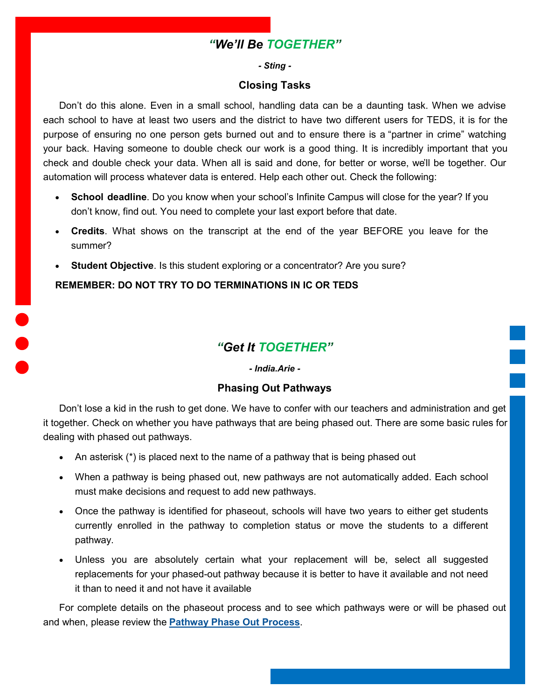# *"We'll Be TOGETHER"*

#### *- Sting -*

#### **Closing Tasks**

<span id="page-2-0"></span>Don't do this alone. Even in a small school, handling data can be a daunting task. When we advise each school to have at least two users and the district to have two different users for TEDS, it is for the purpose of ensuring no one person gets burned out and to ensure there is a "partner in crime" watching your back. Having someone to double check our work is a good thing. It is incredibly important that you check and double check your data. When all is said and done, for better or worse, we'll be together. Our automation will process whatever data is entered. Help each other out. Check the following:

- **School deadline**. Do you know when your school's Infinite Campus will close for the year? If you don't know, find out. You need to complete your last export before that date.
- **Credits**. What shows on the transcript at the end of the year BEFORE you leave for the summer?
- **Student Objective**. Is this student exploring or a concentrator? Are you sure?

#### **REMEMBER: DO NOT TRY TO DO TERMINATIONS IN IC OR TEDS**

# *"Get It TOGETHER"*

#### *- India.Arie -*

#### **Phasing Out Pathways**

Don't lose a kid in the rush to get done. We have to confer with our teachers and administration and get it together. Check on whether you have pathways that are being phased out. There are some basic rules for dealing with phased out pathways.

- An asterisk (\*) is placed next to the name of a pathway that is being phased out
- When a pathway is being phased out, new pathways are not automatically added. Each school must make decisions and request to add new pathways.
- Once the pathway is identified for phaseout, schools will have two years to either get students currently enrolled in the pathway to completion status or move the students to a different pathway.
- Unless you are absolutely certain what your replacement will be, select all suggested replacements for your phased-out pathway because it is better to have it available and not need it than to need it and not have it available

For complete details on the phaseout process and to see which pathways were or will be phased out and when, please review the **[Pathway Phase Out Process](https://education.ky.gov/CTE/ctepa/Documents/Pathway_Phaseout_Guidance.pdf)**.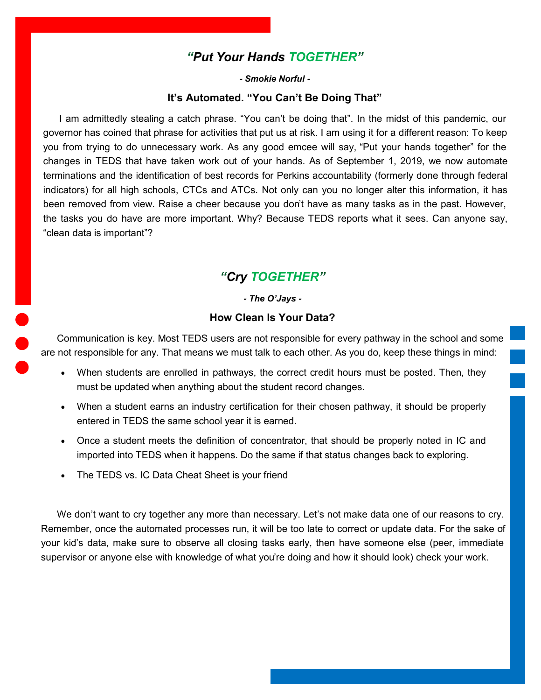### *"Put Your Hands TOGETHER"*

*- Smokie Norful -*

#### **It's Automated. "You Can't Be Doing That"**

<span id="page-3-0"></span>I am admittedly stealing a catch phrase. "You can't be doing that". In the midst of this pandemic, our governor has coined that phrase for activities that put us at risk. I am using it for a different reason: To keep you from trying to do unnecessary work. As any good emcee will say, "Put your hands together" for the changes in TEDS that have taken work out of your hands. As of September 1, 2019, we now automate terminations and the identification of best records for Perkins accountability (formerly done through federal indicators) for all high schools, CTCs and ATCs. Not only can you no longer alter this information, it has been removed from view. Raise a cheer because you don't have as many tasks as in the past. However, the tasks you do have are more important. Why? Because TEDS reports what it sees. Can anyone say, "clean data is important"?

# *"Cry TOGETHER"*

#### *- The O'Jays -*

#### **How Clean Is Your Data?**

Communication is key. Most TEDS users are not responsible for every pathway in the school and some are not responsible for any. That means we must talk to each other. As you do, keep these things in mind:

- When students are enrolled in pathways, the correct credit hours must be posted. Then, they must be updated when anything about the student record changes.
- When a student earns an industry certification for their chosen pathway, it should be properly entered in TEDS the same school year it is earned.
- Once a student meets the definition of concentrator, that should be properly noted in IC and imported into TEDS when it happens. Do the same if that status changes back to exploring.
- The TEDS vs. IC Data Cheat Sheet is your friend

We don't want to cry together any more than necessary. Let's not make data one of our reasons to cry. Remember, once the automated processes run, it will be too late to correct or update data. For the sake of your kid's data, make sure to observe all closing tasks early, then have someone else (peer, immediate supervisor or anyone else with knowledge of what you're doing and how it should look) check your work.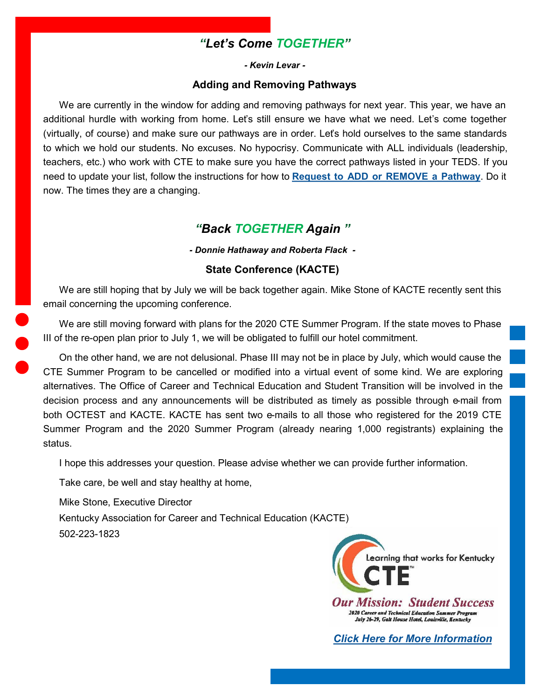# *"Let's Come TOGETHER"*

*- Kevin Levar -*

#### **Adding and Removing Pathways**

<span id="page-4-0"></span>We are currently in the window for adding and removing pathways for next year. This year, we have an additional hurdle with working from home. Let's still ensure we have what we need. Let's come together (virtually, of course) and make sure our pathways are in order. Let's hold ourselves to the same standards to which we hold our students. No excuses. No hypocrisy. Communicate with ALL individuals (leadership, teachers, etc.) who work with CTE to make sure you have the correct pathways listed in your TEDS. If you need to update your list, follow the instructions for how to **[Request to ADD or REMOVE a Pathway](https://education.ky.gov/CTE/teds/Documents/Add-Remove_Existing_Pathway_in_TEDS.pdf)**. Do it now. The times they are a changing.

#### *"Back TOGETHER Again "*

*- Donnie Hathaway and Roberta Flack -*

#### **State Conference (KACTE)**

We are still hoping that by July we will be back together again. Mike Stone of KACTE recently sent this email concerning the upcoming conference.

We are still moving forward with plans for the 2020 CTE Summer Program. If the state moves to Phase III of the re-open plan prior to July 1, we will be obligated to fulfill our hotel commitment.

On the other hand, we are not delusional. Phase III may not be in place by July, which would cause the CTE Summer Program to be cancelled or modified into a virtual event of some kind. We are exploring alternatives. The Office of Career and Technical Education and Student Transition will be involved in the decision process and any announcements will be distributed as timely as possible through e-mail from both OCTEST and KACTE. KACTE has sent two e-mails to all those who registered for the 2019 CTE Summer Program and the 2020 Summer Program (already nearing 1,000 registrants) explaining the status.

I hope this addresses your question. Please advise whether we can provide further information.

Take care, be well and stay healthy at home,

Mike Stone, Executive Director

Kentucky Association for Career and Technical Education (KACTE)

502-223-1823



*[Click Here for More Information](http://kacteonline.org/program/registration/)*